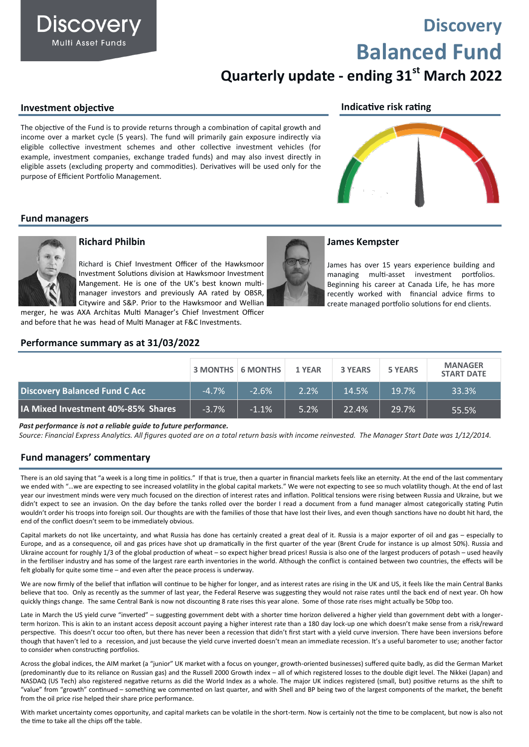### **Discovery Multi Asset Funds**

# **Discovery Balanced Fund**

## **Quarterly update - ending 31st March 2022**

#### **Investment objective**

The objective of the Fund is to provide returns through a combination of capital growth and income over a market cycle (5 years). The fund will primarily gain exposure indirectly via eligible collective investment schemes and other collective investment vehicles (for example, investment companies, exchange traded funds) and may also invest directly in eligible assets (excluding property and commodities). Derivatives will be used only for the purpose of Efficient Portfolio Management.

#### **Indicative risk rating**



#### **Fund managers**



#### **Richard Philbin**

Richard is Chief Investment Officer of the Hawksmoor Investment Solutions division at Hawksmoor Investment Mangement. He is one of the UK's best known multimanager investors and previously AA rated by OBSR, Citywire and S&P. Prior to the Hawksmoor and Wellian

merger, he was AXA Architas Multi Manager's Chief Investment Officer and before that he was head of Multi Manager at F&C Investments.

#### **Performance summary as at 31/03/2022**

#### **James Kempster**

James has over 15 years experience building and managing multi-asset investment portfolios. Beginning his career at Canada Life, he has more recently worked with financial advice firms to create managed portfolio solutions for end clients.

|                                    |         | $\vert$ 3 MONTHS $\vert$ 6 MONTHS $\vert$ | 1 YEAR | <b>3 YEARS</b> | <b>5 YEARS</b> | <b>MANAGER</b><br><b>START DATE</b> |
|------------------------------------|---------|-------------------------------------------|--------|----------------|----------------|-------------------------------------|
| Discovery Balanced Fund C Acc      | $-4.7%$ | $-2.6%$                                   | 2.2%   | 14.5%          | 19.7%          | 33.3%                               |
| IA Mixed Investment 40%-85% Shares | $-3.7%$ | $-1.1%$                                   | 5.2%   | 22.4%          | 29.7%          | 55.5%                               |

*Past performance is not a reliable guide to future performance.*

*Source: Financial Express Analytics. All figures quoted are on a total return basis with income reinvested. The Manager Start Date was 1/12/2014.* 

#### **Fund managers' commentary**

There is an old saying that "a week is a long time in politics." If that is true, then a quarter in financial markets feels like an eternity. At the end of the last commentary we ended with "…we are expecting to see increased volatility in the global capital markets." We were not expecting to see so much volatility though. At the end of last year our investment minds were very much focused on the direction of interest rates and inflation. Political tensions were rising between Russia and Ukraine, but we didn't expect to see an invasion. On the day before the tanks rolled over the border I read a document from a fund manager almost categorically stating Putin wouldn't order his troops into foreign soil. Our thoughts are with the families of those that have lost their lives, and even though sanctions have no doubt hit hard, the end of the conflict doesn't seem to be immediately obvious.

Capital markets do not like uncertainty, and what Russia has done has certainly created a great deal of it. Russia is a major exporter of oil and gas – especially to Europe, and as a consequence, oil and gas prices have shot up dramatically in the first quarter of the year (Brent Crude for instance is up almost 50%). Russia and Ukraine account for roughly 1/3 of the global production of wheat – so expect higher bread prices! Russia is also one of the largest producers of potash – used heavily in the fertiliser industry and has some of the largest rare earth inventories in the world. Although the conflict is contained between two countries, the effects will be felt globally for quite some time – and even after the peace process is underway.

We are now firmly of the belief that inflation will continue to be higher for longer, and as interest rates are rising in the UK and US, it feels like the main Central Banks believe that too. Only as recently as the summer of last year, the Federal Reserve was suggesting they would not raise rates until the back end of next year. Oh how quickly things change. The same Central Bank is now not discounting 8 rate rises this year alone. Some of those rate rises might actually be 50bp too.

Late in March the US yield curve "inverted" – suggesting government debt with a shorter time horizon delivered a higher yield than government debt with a longerterm horizon. This is akin to an instant access deposit account paying a higher interest rate than a 180 day lock-up one which doesn't make sense from a risk/reward perspective. This doesn't occur too often, but there has never been a recession that didn't first start with a yield curve inversion. There have been inversions before though that haven't led to a recession, and just because the yield curve inverted doesn't mean an immediate recession. It's a useful barometer to use; another factor to consider when constructing portfolios.

Across the global indices, the AIM market (a "junior" UK market with a focus on younger, growth-oriented businesses) suffered quite badly, as did the German Market (predominantly due to its reliance on Russian gas) and the Russell 2000 Growth index – all of which registered losses to the double digit level. The Nikkei (Japan) and NASDAQ (US Tech) also registered negative returns as did the World Index as a whole. The major UK indices registered (small, but) positive returns as the shift to "value" from "growth" continued – something we commented on last quarter, and with Shell and BP being two of the largest components of the market, the benefit from the oil price rise helped their share price performance.

With market uncertainty comes opportunity, and capital markets can be volatile in the short-term. Now is certainly not the time to be complacent, but now is also not the time to take all the chips off the table.